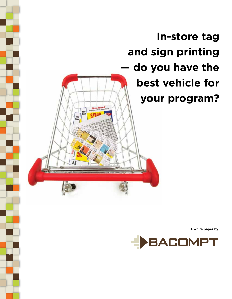

**A white paper by**

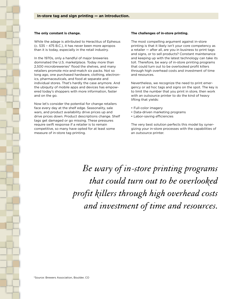### **The only constant is change.**

While the adage is attributed to Heraclitus of Ephesus (c. 535 – 475 B.C.), it has never been more apropos than it is today, especially in the retail industry.

In the 1970s, only a handful of major breweries dominated the U.S. marketplace. Today more than 2,500 microbreweries\* flood the shelves, and many retailers promote mix-and-match six packs. Not so long ago, one purchased hardware, clothing, electronics, pharmaceuticals, and food at separate and individual stores. That's hardly the case anymore. And the ubiquity of mobile apps and devices has empowered today's shoppers with more information, faster and on the go.

Now let's consider the potential for change retailers face every day at the shelf edge. Seasonality, sale wars, and product availability drive prices up and drive prices down. Product descriptions change. Shelf tags get damaged or go missing. These pressures require swift response if a retailer is to remain competitive, so many have opted for at least some measure of in-store tag printing.

### **The challenges of in-store printing.**

The most compelling argument against in-store printing is that it likely isn't your core competency as a retailer — after all, are you in business to print tags and signs, or to sell products? Constant maintenance and keeping up with the latest technology can take its toll. Therefore, be wary of in-store printing programs that could turn out to be overlooked profit killers through high overhead costs and investment of time and resources.

Nevertheless, we recognize the need to print emergency or ad hoc tags and signs on the spot. The key is to limit the number that you print in store, then work with an outsource printer to do the kind of heavy lifting that yields:

- Full-color imagery
- Data-driven marketing programs
- Labor-saving efficiencies

The very best solution perfects this model by synergizing your in-store processes with the capabilities of an outsource printer.

Be wary of in-store printing programs that could turn out to be overlooked profit killers through high overhead costs and investment of time and resources.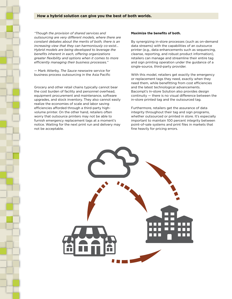## **How a hybrid solution can give you the best of both worlds.**

*"Though the provision of shared services and outsourcing are very different models, where there are constant debates about the merits of both, there is an increasing view that they can harmoniously co-exist… Hybrid models are being developed to leverage the benefits inherent in each, offering organizations greater flexibility and options when it comes to more efficiently managing their business processes."*

— Mark Atterby, *The Sauce* newswire service for business process outsourcing in the Asia Pacific

Grocery and other retail chains typically cannot bear the cost burden of facility and personnel overhead, equipment procurement and maintenance, software upgrades, and stock inventory. They also cannot easily realize the economies of scale and labor saving efficiencies afforded through a third-party highvolume printer. On the other hand, retailers often worry that outsource printers may not be able to furnish emergency replacement tags at a moment's notice. Waiting for the next print run and delivery may not be acceptable.

# **Maximize the benefits of both.**

By synergizing in-store processes (such as on-demand data streams) with the capabilities of an outsource printer (e.g., data enhancements such as sequencing, cleanse, reporting, and robust product information), retailers can manage and streamline their entire tag and sign printing operation under the guidance of a single-source, third-party provider.

With this model, retailers get exactly the emergency or replacement tags they need, exactly when they need them, while benefitting from cost efficiencies and the latest technological advancements. Bacompt's In-store Solution also provides design continuity — there is no visual difference between the in-store printed tag and the outsourced tag.

Furthermore, retailers get the assurance of data integrity throughout their tag and sign programs, whether outsourced or printed in store. It's especially important to maintain 100 percent integrity between point-of-sale systems and print files in markets that fine heavily for pricing errors.

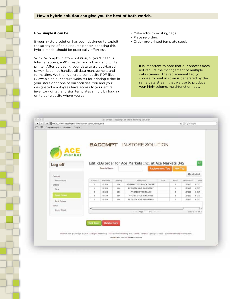## **How simple it can be.**

If your in-store solution has been designed to exploit the strengths of an outsource printer, adopting this hybrid model should be practically effortless.

With Bacompt's In-store Solution, all you'll need is Internet access, a PDF reader, and a black and white printer. After uploading your data to a cloud-based server, Bacompt handles all data management and formatting. We then generate composite PDF files (viewable on our secure website) for printing either in your store or at one of our facilities. You and your designated employees have access to your entire inventory of tag and sign templates simply by logging on to our website where you can:

- Make edits to existing tags
- Place re-orders
- Order pre-printed template stock

It is important to note that our process does not require the management of multiple data streams. The replacement tag you choose to print in store is generated by the same data stream that we use to produce your high-volume, multi-function tags.

| Edit Order - Bacompt In-store Printing Solution<br>+ @http://www.bacomptinstoresolution.com/Orders/Edit |                     |                           |     |                                                        |                 |         |             | $C$ $Q*$ Google               |  |  |
|---------------------------------------------------------------------------------------------------------|---------------------|---------------------------|-----|--------------------------------------------------------|-----------------|---------|-------------|-------------------------------|--|--|
| CoogleAnalytics Outlook Coogle                                                                          |                     |                           |     |                                                        |                 |         |             |                               |  |  |
|                                                                                                         |                     |                           |     |                                                        |                 |         |             |                               |  |  |
|                                                                                                         |                     |                           |     |                                                        |                 |         |             |                               |  |  |
|                                                                                                         |                     |                           |     | <b>BACOMPT</b> IN-STORE SOLUTION                       |                 |         |             |                               |  |  |
|                                                                                                         |                     |                           |     |                                                        |                 |         |             |                               |  |  |
|                                                                                                         |                     |                           |     |                                                        |                 |         |             |                               |  |  |
|                                                                                                         |                     |                           |     |                                                        |                 |         |             |                               |  |  |
|                                                                                                         |                     |                           |     |                                                        |                 |         |             |                               |  |  |
| Log off                                                                                                 |                     |                           |     | Edit REG order for Ace Markets Inc. at Ace Markets 345 |                 |         |             | $\mathbf{H}$                  |  |  |
|                                                                                                         |                     | Search Items              |     |                                                        | Replacement Tag | New Tag |             |                               |  |  |
|                                                                                                         |                     |                           |     |                                                        |                 |         |             | Quick Add                     |  |  |
| Manage                                                                                                  |                     |                           |     |                                                        |                 |         |             |                               |  |  |
| My Account                                                                                              | Copies <sup>n</sup> | <b>Barcode</b><br>Catalog |     | Description.                                           | <b>Item</b>     | Pack    | Sale Retail | Size:                         |  |  |
| Orders                                                                                                  | <sup>1</sup>        | <b>DSD</b>                | 114 | PF GREEK YOG BLACK CHERRY                              |                 | 1       | 10/810      | 6.07                          |  |  |
|                                                                                                         | 1                   | <b>DSD</b>                | 114 | PF GREEK YOG BLUEBERRY                                 |                 | I.      | 10/810      | 6.02                          |  |  |
| New.                                                                                                    |                     |                           | 114 | PF GREEK YOG PEACH                                     |                 | $\pm$   | 10/\$10     | 6.02                          |  |  |
|                                                                                                         | $\pm$               | D5D                       |     |                                                        |                 |         |             |                               |  |  |
| <b>Open Orders</b>                                                                                      | 1                   | <b>DSD</b>                | 114 | PF GREEK YOG PINEAPPLE                                 |                 | d.      | 10/\$10     | 6 OZ                          |  |  |
| <b>Past Orders</b>                                                                                      | ÷.                  | DSD                       | 114 | PF GREEK YOG RASPBERRY                                 |                 | ÷.      | 10/810      | 602                           |  |  |
| <b>Stock</b>                                                                                            |                     |                           |     |                                                        |                 |         |             |                               |  |  |
| Order Stock                                                                                             | $\rightarrow$       |                           |     | $off.1 - -$<br>PagoT                                   |                 |         |             | ٠.<br>$V$ inw. $1 - 5$ of $5$ |  |  |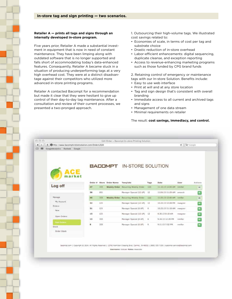## **Retailer A — prints all tags and signs through an internally developed in-store program.**

Five years prior, Retailer A made a substantial investment in equipment that is now in need of constant maintenance. They have been limping along with outdated software that is no longer supported and falls short of accommodating today's data-enhanced features. Consequently, Retailer A became stuck in a situation of producing underperforming tags at a very high overhead cost. They were at a distinct disadvantage against their competitors who utilized more advanced in-store printing programs.

Retailer A contacted Bacompt for a recommendation but made it clear that they were hesitant to give up control of their day-to-day tag maintenance. After a consultation and review of their current processes, we presented a two-pronged approach.

 $\alpha$ 

1. Outsourcing their high-volume tags. We illustrated cost savings related to:

- Economies of scale, in terms of cost per tag and substrate choice
- Drastic reduction of in-store overhead
- Labor-efficient enhancements: digital sequencing, duplicate cleanse, and exception reporting
- Access to revenue-enhancing marketing programs such as those funded by CPG brand funds

2. Retaining control of emergency or maintenance tags with our In-store Solution. Benefits include:

- Easy to use web interface
- Print at will and at any store location
- Tag and sign design that's consistent with overall branding
- Immediate access to all current and archived tags and signs
- Management of one data stream
- Minimal requirements on retailer

#### The result: **cost savings, immediacy, and control.**

|                                                                                      |         |            |                  | Edit Order - Bacompt In-store Printing Solution |                  |                             |          |                          |
|--------------------------------------------------------------------------------------|---------|------------|------------------|-------------------------------------------------|------------------|-----------------------------|----------|--------------------------|
| inttp://www.bacomptinstoresolution.com/Orders/Edit<br>CoogleAnalytics Outlook Coogle |         |            |                  |                                                 |                  |                             | Ğ.       | Q* Google                |
|                                                                                      |         |            |                  |                                                 |                  |                             |          |                          |
|                                                                                      |         |            |                  |                                                 |                  |                             |          |                          |
|                                                                                      |         |            |                  | <b>BACOMPT IN-STORE SOLUTION</b>                |                  |                             |          |                          |
|                                                                                      |         |            |                  |                                                 |                  |                             |          |                          |
|                                                                                      |         |            |                  |                                                 |                  |                             |          |                          |
|                                                                                      | Drdar # |            | Store Order Name | Template                                        | Tags             | Date                        | User     | Actions                  |
| Log off                                                                              | 47      | 333.       |                  | Weekly Order Recurring Weekly Order             | 120              | 11.10.13 12:00 AM nmiller   |          | Ħ                        |
|                                                                                      | 38      | 051        |                  | Manager Special (12 UP)                         | 12               | 11.06.13 11:29 AM amarsh    |          | $\mathbf{R}$             |
| Manage                                                                               | 46      | 333        |                  | Weekly Order Recurring Weekly Order             | 120 <sub>1</sub> | 11.03.13 12:00 AM nmiller   |          | M                        |
| My Account                                                                           | 32      | 123        |                  | Manager Special (12 UP)                         | 12               | 10.23.13 12:08 PM : mxagner |          | Ħ                        |
| Orders<br>New                                                                        | 31      | 123        |                  | Manager Special (6 UP)                          | 6                | 10.23.13 11:18 AM nwagner   |          | $\mathbf{R}$             |
|                                                                                      | 15      | 123        |                  | Manager Special (12 UP)                         | 12               | 9.30.13 8:19 AM             | nwagner: | $\mathbf{R}$             |
| Open Orders                                                                          | 13      | $333 -$    |                  | Manager Special (6 LIP)                         | 6                | 9.16.13 12:29 PM            | nmiller  | $\mathbf{r}$             |
| <b>PAAR OVERFLY</b><br><b>Stock</b>                                                  | в       | <b>TEE</b> |                  | Manager Special (6 UP) 6                        |                  | 9.11.13 7:52 PM             | nmiller  | $\vert \mathbf{r} \vert$ |
|                                                                                      |         |            |                  |                                                 |                  |                             |          |                          |
| Order Stock                                                                          |         |            |                  |                                                 |                  |                             |          |                          |

Username: textuar Roles: Associati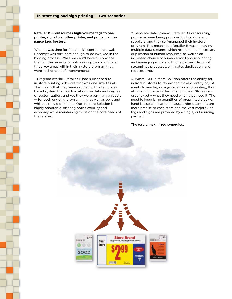**Retailer B — outsources high-volume tags to one printer, signs to another printer, and prints maintenance tags in-store.** 

When it was time for Retailer B's contract renewal, Bacompt was fortunate enough to be involved in the bidding process. While we didn't have to convince them of the benefits of outsourcing, we did discover three key areas within their in-store program that were in dire need of improvement:

1. Program overkill. Retailer B had subscribed to in-store printing software that was one-size-fits all. This means that they were saddled with a templatebased system that put limitations on data and degree of customization, and yet they were paying high costs — for both ongoing programming as well as bells and whistles they didn't need. Our In-store Solution is highly adaptable, offering both flexibility and economy while maintaining focus on the core needs of the retailer.

2. Separate data streams. Retailer B's outsourcing programs were being provided by two different suppliers, and they self-managed their in-store program. This means that Retailer B was managing multiple data streams, which resulted in unnecessary duplication of human resources, as well as an increased chance of human error. By consolidating and managing all data with one partner, Bacompt streamlines processes, eliminates duplication, and reduces error.

3. Waste. Our In-store Solution offers the ability for individual stores to review and make quantity adjustments to any tag or sign order prior to printing, thus eliminating waste in the initial print run. Stores can order exactly what they need when they need it. The need to keep large quantities of preprinted stock on hand is also eliminated because order quantities are more precise to each store and the vast majority of tags and signs are provided by a single, outsourcing partner.

## The result: **maximized synergies.**

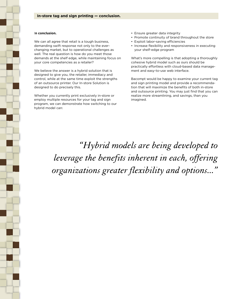## I**n conclusion.**

We can all agree that retail is a tough business, demanding swift response not only to the everchanging market, but to operational challenges as well. The real question is how do you meet those demands at the shelf edge, while maintaining focus on your core competencies as a retailer?

We believe the answer is a hybrid solution that is designed to give you, the retailer, immediacy and control, while at the same time exploit the strengths of an outsource printer. Our In-store Solution is designed to do precisely this.

Whether you currently print exclusively in-store or employ multiple resources for your tag and sign program, we can demonstrate how switching to our hybrid model can:

- Ensure greater data integrity
- Promote continuity of brand throughout the store
- Exploit labor-saving efficiencies
- Increase flexibility and responsiveness in executing your shelf-edge program

What's more compelling is that adopting a thoroughly cohesive hybrid model such as ours should be practically effortless with cloud-based data management and easy-to-use web interface.

Bacompt would be happy to examine your current tag and sign printing model and provide a recommendation that will maximize the benefits of both in-store and outsource printing. You may just find that you can realize more streamlining, and savings, than you imagined.

"Hybrid models are being developed to leverage the benefits inherent in each, offering organizations greater flexibility and options..."